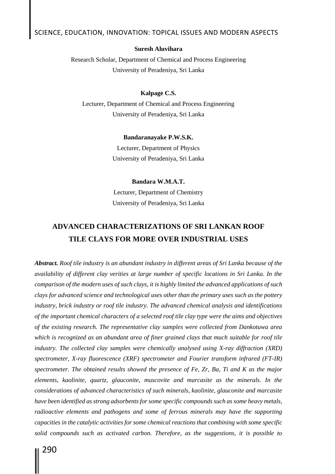#### **Suresh Aluvihara**

Research Scholar, Department of Chemical and Process Engineering University of Peradeniya, Sri Lanka

#### **Kalpage C.S.**

Lecturer, Department of Chemical and Process Engineering University of Peradeniya, Sri Lanka

#### **Bandaranayake P.W.S.K.**

Lecturer, Department of Physics University of Peradeniya, Sri Lanka

#### **Bandara W.M.A.T.**

Lecturer, Department of Chemistry University of Peradeniya, Sri Lanka

# **ADVANCED CHARACTERIZATIONS OF SRI LANKAN ROOF TILE CLAYS FOR MORE OVER INDUSTRIAL USES**

*Abstract. Roof tile industry is an abundant industry in different areas of Sri Lanka because of the availability of different clay verities at large number of specific locations in Sri Lanka. In the comparison of the modern uses of such clays, it is highly limited the advanced applications of such clays for advanced science and technological uses other than the primary uses such as the pottery industry, brick industry or roof tile industry. The advanced chemical analysis and identifications of the important chemical characters of a selected roof tile clay type were the aims and objectives of the existing research. The representative clay samples were collected from Dankotuwa area which is recognized as an abundant area of finer grained clays that much suitable for roof tile industry. The collected clay samples were chemically analysed using X-ray diffraction (XRD) spectrometer, X-ray fluorescence (XRF) spectrometer and Fourier transform infrared (FT-IR) spectrometer. The obtained results showed the presence of Fe, Zr, Ba, Ti and K as the major elements, kaolinite, quartz, glauconite, muscovite and marcasite as the minerals. In the considerations of advanced characteristics of such minerals, kaolinite, glauconite and marcasite have been identified as strong adsorbents for some specific compounds such as some heavy metals,*  radioactive elements and pathogens and some of ferrous minerals may have the supporting *capacities in the catalytic activities for some chemical reactions that combining with some specific solid compounds such as activated carbon. Therefore, as the suggestions, it is possible to*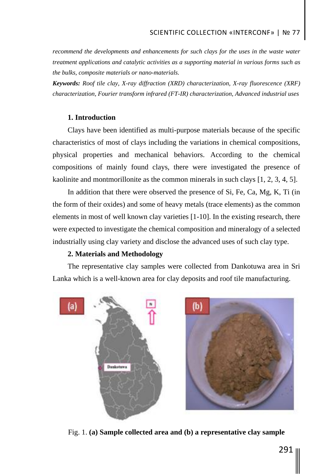*recommend the developments and enhancements for such clays for the uses in the waste water treatment applications and catalytic activities as a supporting material in various forms such as the bulks, composite materials or nano-materials.*

*Keywords: Roof tile clay, X-ray diffraction (XRD) characterization, X-ray fluorescence (XRF) characterization, Fourier transform infrared (FT-IR) characterization, Advanced industrial uses*

# **1. Introduction**

Clays have been identified as multi-purpose materials because of the specific characteristics of most of clays including the variations in chemical compositions, physical properties and mechanical behaviors. According to the chemical compositions of mainly found clays, there were investigated the presence of kaolinite and montmorillonite as the common minerals in such clays [1, 2, 3, 4, 5].

In addition that there were observed the presence of Si, Fe, Ca, Mg, K, Ti (in the form of their oxides) and some of heavy metals (trace elements) as the common elements in most of well known clay varieties [1-10]. In the existing research, there were expected to investigate the chemical composition and mineralogy of a selected industrially using clay variety and disclose the advanced uses of such clay type.

### **2. Materials and Methodology**

The representative clay samples were collected from Dankotuwa area in Sri Lanka which is a well-known area for clay deposits and roof tile manufacturing.



Fig. 1. **(a) Sample collected area and (b) a representative clay sample**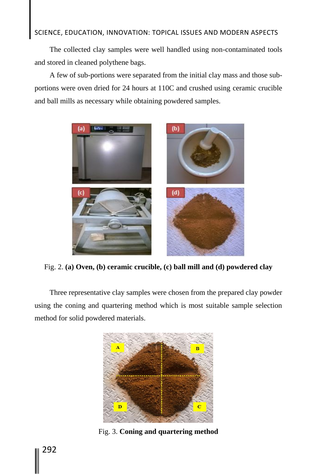The collected clay samples were well handled using non-contaminated tools and stored in cleaned polythene bags.

A few of sub-portions were separated from the initial clay mass and those subportions were oven dried for 24 hours at 110C and crushed using ceramic crucible and ball mills as necessary while obtaining powdered samples.



Fig. 2. **(a) Oven, (b) ceramic crucible, (c) ball mill and (d) powdered clay**

Three representative clay samples were chosen from the prepared clay powder using the coning and quartering method which is most suitable sample selection method for solid powdered materials.



Fig. 3. **Coning and quartering method**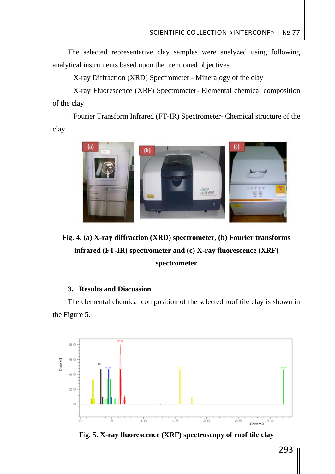The selected representative clay samples were analyzed using following analytical instruments based upon the mentioned objectives.

– X-ray Diffraction (XRD) Spectrometer - Mineralogy of the clay

– X-ray Fluorescence (XRF) Spectrometer- Elemental chemical composition of the clay

– Fourier Transform Infrared (FT-IR) Spectrometer- Chemical structure of the clay



Fig. 4. **(a) X-ray diffraction (XRD) spectrometer, (b) Fourier transforms infrared (FT-IR) spectrometer and (c) X-ray fluorescence (XRF) spectrometer**

# **3. Results and Discussion**

The elemental chemical composition of the selected roof tile clay is shown in the Figure 5.



Fig. 5. **X-ray fluorescence (XRF) spectroscopy of roof tile clay**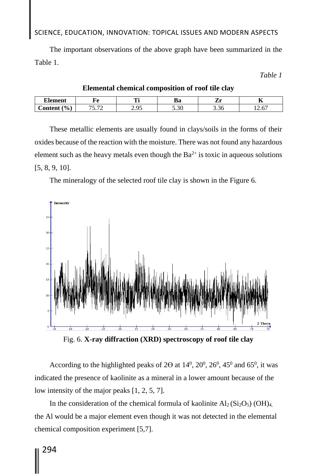The important observations of the above graph have been summarized in the Table 1.

*Table 1*

| --<br>Alement              |                                 | .                | m<br>Kα<br>υa                         | -    | $-$<br>д,  |
|----------------------------|---------------------------------|------------------|---------------------------------------|------|------------|
| $\mathcal{O}_0$<br>`ontent | $\overline{\phantom{a}}$<br>- - | $\Omega$<br>ر. ر | $\sim$ 0.0<br>$\cup \, \cdot \, \cup$ | J.JU | --<br>12.v |

**Elemental chemical composition of roof tile clay**

These metallic elements are usually found in clays/soils in the forms of their oxides because of the reaction with the moisture. There was not found any hazardous element such as the heavy metals even though the  $Ba^{2+}$  is toxic in aqueous solutions [5, 8, 9, 10].

The mineralogy of the selected roof tile clay is shown in the Figure 6.



Fig. 6. **X-ray diffraction (XRD) spectroscopy of roof tile clay** 

According to the highlighted peaks of  $2\Theta$  at  $14^0$ ,  $20^0$ ,  $26^0$ ,  $45^0$  and  $65^0$ , it was indicated the presence of kaolinite as a mineral in a lower amount because of the low intensity of the major peaks [1, 2, 5, 7].

In the consideration of the chemical formula of kaolinite  $Al_2(Si_2O_5)$  (OH)<sub>4,</sub> the Al would be a major element even though it was not detected in the elemental chemical composition experiment [5,7].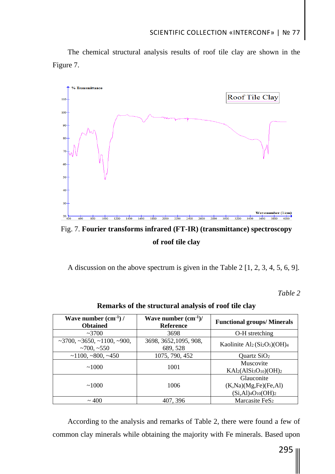The chemical structural analysis results of roof tile clay are shown in the Figure 7.



Fig. 7. **Fourier transforms infrared (FT-IR) (transmittance) spectroscopy of roof tile clay**

A discussion on the above spectrum is given in the Table 2 [1, 2, 3, 4, 5, 6, 9].

*Table 2*

| Wave number $(cm^{-1})/$<br><b>Obtained</b>                        | Wave number $(cm^{-1})/$<br><b>Reference</b> | <b>Functional groups/Minerals</b>                                                                  |  |  |  |
|--------------------------------------------------------------------|----------------------------------------------|----------------------------------------------------------------------------------------------------|--|--|--|
| ~2700                                                              | 3698                                         | O-H stretching                                                                                     |  |  |  |
| $\sim$ 3700, $\sim$ 3650, $\sim$ 1100, $\sim$ 900,<br>$~100, -550$ | 3698, 3652, 1095, 908,<br>689, 528           | Kaolinite $Al2(Si2O5)(OH)4$                                                                        |  |  |  |
| ~1100,~800,~450                                                    | 1075, 790, 452                               | Quartz $SiO2$                                                                                      |  |  |  |
| ~1000                                                              | 1001                                         | Muscovite<br>$KAl2(AlSi3O10)(OH)2$                                                                 |  |  |  |
| ~1000                                                              | 1006                                         | Glauconite<br>(K, Na)(Mg, Fe)(Fe, Al)<br>$(Si, Al)$ <sub>4</sub> O <sub>10</sub> (OH) <sub>2</sub> |  |  |  |
| $\sim$ 400                                                         | 407, 396                                     | Marcasite FeS <sub>2</sub>                                                                         |  |  |  |

**Remarks of the structural analysis of roof tile clay**

According to the analysis and remarks of Table 2, there were found a few of common clay minerals while obtaining the majority with Fe minerals. Based upon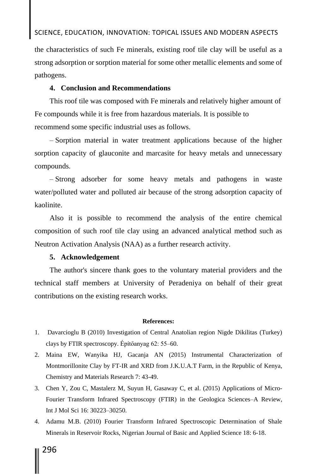the characteristics of such Fe minerals, existing roof tile clay will be useful as a strong adsorption or sorption material for some other metallic elements and some of pathogens.

## **4. Conclusion and Recommendations**

This roof tile was composed with Fe minerals and relatively higher amount of Fe compounds while it is free from hazardous materials. It is possible to recommend some specific industrial uses as follows.

– Sorption material in water treatment applications because of the higher sorption capacity of glauconite and marcasite for heavy metals and unnecessary compounds.

– Strong adsorber for some heavy metals and pathogens in waste water/polluted water and polluted air because of the strong adsorption capacity of kaolinite.

Also it is possible to recommend the analysis of the entire chemical composition of such roof tile clay using an advanced analytical method such as Neutron Activation Analysis (NAA) as a further research activity.

### **5. Acknowledgement**

The author's sincere thank goes to the voluntary material providers and the technical staff members at University of Peradeniya on behalf of their great contributions on the existing research works.

#### **References:**

- 1. Davarcioglu B (2010) Investigation of Central Anatolian region Nigde Dikilitas (Turkey) clays by FTIR spectroscopy. Építőanyag 62: 55–60.
- 2. Maina EW, Wanyika HJ, Gacanja AN (2015) Instrumental Characterization of Montmorillonite Clay by FT-IR and XRD from J.K.U.A.T Farm, in the Republic of Kenya, Chemistry and Materials Research 7: 43-49.
- 3. Chen Y, Zou C, Mastalerz M, Suyun H, Gasaway C, et al. (2015) Applications of Micro-Fourier Transform Infrared Spectroscopy (FTIR) in the Geologica Sciences–A Review, Int J Mol Sci 16: 30223–30250.
- 4. Adamu M.B. (2010) Fourier Transform Infrared Spectroscopic Determination of Shale Minerals in Reservoir Rocks, Nigerian Journal of Basic and Applied Science 18: 6-18.